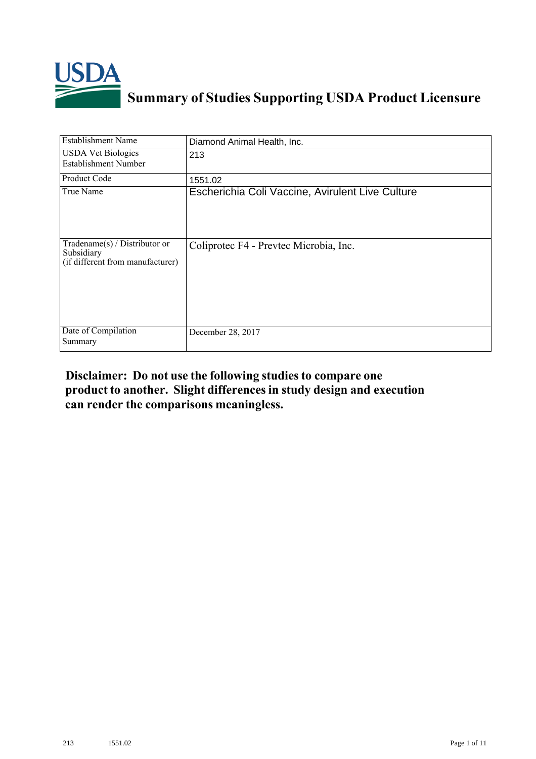

# **Summary of Studies Supporting USDA Product Licensure**

| <b>Establishment Name</b>                                                         | Diamond Animal Health, Inc.                      |
|-----------------------------------------------------------------------------------|--------------------------------------------------|
| <b>USDA Vet Biologics</b><br><b>Establishment Number</b>                          | 213                                              |
| <b>Product Code</b>                                                               | 1551.02                                          |
| True Name                                                                         | Escherichia Coli Vaccine, Avirulent Live Culture |
| $Tradename(s) / Distributor$ or<br>Subsidiary<br>(if different from manufacturer) | Coliprotec F4 - Prevtec Microbia, Inc.           |
| Date of Compilation<br>Summary                                                    | December 28, 2017                                |

#### **Disclaimer: Do not use the following studiesto compare one product to another. Slight differencesin study design and execution can render the comparisons meaningless.**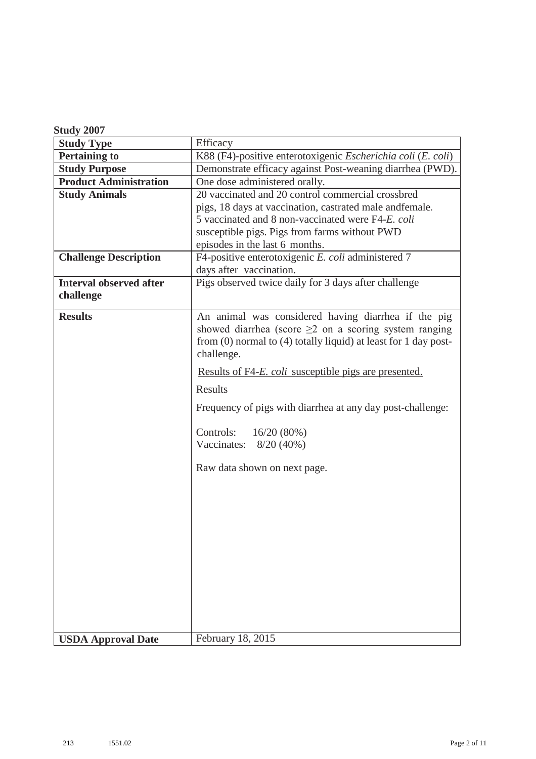| Study 2007 |  |
|------------|--|
|------------|--|

| <b>Study Type</b>              | Efficacy                                                                                                                                                                                                |
|--------------------------------|---------------------------------------------------------------------------------------------------------------------------------------------------------------------------------------------------------|
| <b>Pertaining to</b>           | K88 (F4)-positive enterotoxigenic Escherichia coli (E. coli)                                                                                                                                            |
| <b>Study Purpose</b>           | Demonstrate efficacy against Post-weaning diarrhea (PWD).                                                                                                                                               |
| <b>Product Administration</b>  | One dose administered orally.                                                                                                                                                                           |
| <b>Study Animals</b>           | 20 vaccinated and 20 control commercial crossbred                                                                                                                                                       |
|                                | pigs, 18 days at vaccination, castrated male and female.                                                                                                                                                |
|                                | 5 vaccinated and 8 non-vaccinated were F4-E. coli                                                                                                                                                       |
|                                | susceptible pigs. Pigs from farms without PWD                                                                                                                                                           |
|                                | episodes in the last 6 months.                                                                                                                                                                          |
| <b>Challenge Description</b>   | F4-positive enterotoxigenic E. coli administered 7                                                                                                                                                      |
|                                | days after vaccination.                                                                                                                                                                                 |
| <b>Interval observed after</b> | Pigs observed twice daily for 3 days after challenge                                                                                                                                                    |
| challenge                      |                                                                                                                                                                                                         |
| <b>Results</b>                 | An animal was considered having diarrhea if the pig<br>showed diarrhea (score $\geq$ 2 on a scoring system ranging<br>from $(0)$ normal to $(4)$ totally liquid) at least for 1 day post-<br>challenge. |
|                                | Results of F4- <i>E. coli</i> susceptible pigs are presented.                                                                                                                                           |
|                                | Results                                                                                                                                                                                                 |
|                                | Frequency of pigs with diarrhea at any day post-challenge:                                                                                                                                              |
|                                | Controls:<br>16/20(80%)<br>Vaccinates: $8/20 (40%)$                                                                                                                                                     |
|                                | Raw data shown on next page.                                                                                                                                                                            |
|                                |                                                                                                                                                                                                         |
|                                |                                                                                                                                                                                                         |
|                                |                                                                                                                                                                                                         |
|                                |                                                                                                                                                                                                         |
|                                |                                                                                                                                                                                                         |
|                                |                                                                                                                                                                                                         |
|                                |                                                                                                                                                                                                         |
|                                |                                                                                                                                                                                                         |
|                                |                                                                                                                                                                                                         |
|                                |                                                                                                                                                                                                         |
|                                |                                                                                                                                                                                                         |
| <b>USDA Approval Date</b>      | February 18, 2015                                                                                                                                                                                       |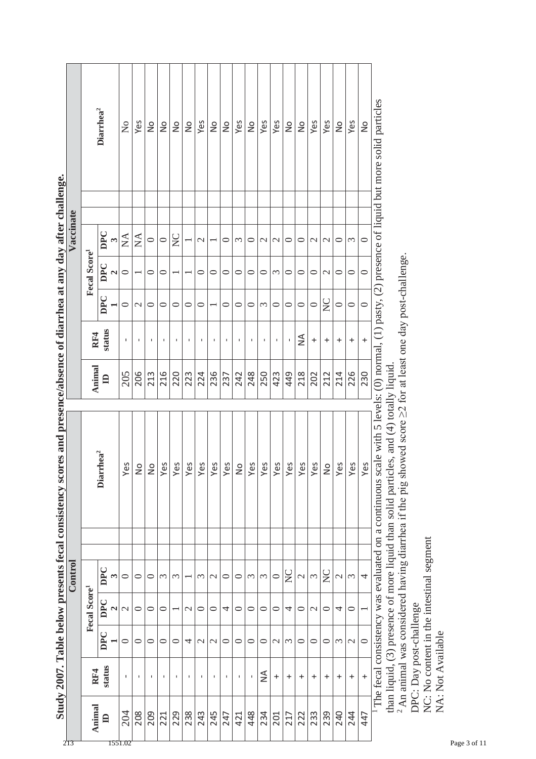|                                                                                                                        |           |                          | Diarrhea <sup>2</sup>        | $\mathsf{S}^{\mathsf{O}}$ | Yes           | $\frac{1}{2}$ | $\frac{1}{2}$ | $\frac{1}{2}$    | $\frac{1}{2}$ | Yes           | $\frac{1}{2}$ | $\frac{1}{2}$ | Yes            | $\frac{1}{2}$       | Yes             | Yes            | $\frac{1}{2}$    | $\frac{1}{2}$                            | Yes           | Yes              | $\frac{1}{2}$ | Yes           | $\frac{1}{2}$ |                                                                                                                                                 |
|------------------------------------------------------------------------------------------------------------------------|-----------|--------------------------|------------------------------|---------------------------|---------------|---------------|---------------|------------------|---------------|---------------|---------------|---------------|----------------|---------------------|-----------------|----------------|------------------|------------------------------------------|---------------|------------------|---------------|---------------|---------------|-------------------------------------------------------------------------------------------------------------------------------------------------|
|                                                                                                                        | Vaccinate |                          |                              |                           |               |               |               |                  |               |               |               |               |                |                     |                 |                |                  |                                          |               |                  |               |               |               |                                                                                                                                                 |
|                                                                                                                        |           |                          | DPC                          | $\mathop{\mathrm{NA}}$    | $\sum$        | $\circ$       | $\circ$       | $\sum_{i=1}^{n}$ |               | $\mathbf 2$   |               | $\circ$       | $\infty$       | $\circ$             | $\mathbf{\sim}$ | $\mathbf 2$    | $\circ$          | $\mathrel{\mathop{\mathsf{C}}\nolimits}$ | $\mathcal{C}$ | $\mathbf{\sim}$  | $\circ$       | $\epsilon$    | $\circ$       |                                                                                                                                                 |
|                                                                                                                        |           | Fecal Score <sup>1</sup> | DPC<br>$\mathbf{\mathbf{z}}$ | $\circ$                   |               | 0             | 0             |                  |               | 0             | 0             | 0             | ○              | $\circ$             | 0               | $\epsilon$     | $\circ$          | ○                                        | $\circ$       | $\mathcal{L}$    | $\circ$       | 0             | $\circ$       |                                                                                                                                                 |
|                                                                                                                        |           |                          | DPC                          | 0                         | $\mathcal{C}$ | 0             | $\circ$       | 0                | $\circ$       | 0             |               | 0             | ○              | $\circ$             | 3               | 0              | $\circ$          | $\circ$                                  | $\circ$       | $\sum_{i=1}^{n}$ | $\circ$       | 0             | $\circ$       |                                                                                                                                                 |
|                                                                                                                        |           | RF4                      | status                       | I.                        |               | J.            | п             | $\blacksquare$   | $\mathbf{I}$  |               |               | J.            | $\blacksquare$ | I.                  | J.              | $\blacksquare$ |                  | ≨                                        | $^{+}$        | $\ddot{}$        | $\ddot{}$     | $\ddot{}$     | $\ddot{}$     |                                                                                                                                                 |
|                                                                                                                        |           | Animal                   | $\mathbf{a}$                 | 205                       | 206           | 213           | 216           | 220              | 223           | 224           | 236           | 237           | 242            | 248                 | 250             | 423            | 449              | 218                                      | 202           | 212              | 214           | 226           | 230           |                                                                                                                                                 |
|                                                                                                                        |           |                          | Diarrhea <sup>2</sup>        | Yes                       | $\frac{1}{2}$ | $\frac{1}{2}$ | Yes           | Yes              |               |               |               |               |                |                     |                 |                |                  |                                          |               |                  |               |               |               |                                                                                                                                                 |
|                                                                                                                        |           |                          |                              |                           |               |               |               |                  | Yes           | Yes           | Yes           | Yes           | $\frac{1}{2}$  | Yes                 | Yes             | Yes            | Yes              | Yes                                      | Yes           | $\frac{1}{2}$    | Yes           | Yes           | Yes           |                                                                                                                                                 |
|                                                                                                                        |           |                          |                              |                           |               |               |               |                  |               |               |               |               |                |                     |                 |                |                  |                                          |               |                  |               |               |               |                                                                                                                                                 |
|                                                                                                                        | Control   |                          | DPC<br>3                     | $\circ$                   | $\circ$       | $\circ$       | 3             | $\mathfrak{c}$   |               | 3             | $\mathcal{L}$ | $\circ$       | $\circ$        | $\epsilon$          | 3               | $\circ$        | $\sum_{i=1}^{n}$ | $\overline{\mathcal{C}}$                 | $\tilde{\xi}$ | $\sum_{i=1}^{n}$ | $\mathcal{L}$ | $\infty$      | 4             |                                                                                                                                                 |
|                                                                                                                        |           |                          | DPC<br>$\mathbf{z}$          | $\mathbf{\Omega}$         | $\circ$       | 0             | $\circ$       |                  | $\mathcal{C}$ | $\circ$       | $\circ$       | 4             | $\circ$        | $\circ$             | $\circ$         | $\circ$        | 4                | $\circ$                                  | $\mathcal{L}$ | $\circ$          | 4             | $\circ$       |               |                                                                                                                                                 |
|                                                                                                                        |           | Fecal Score <sup>1</sup> | DPC                          | $\circ$                   | $\circ$       | 0             | $\circ$       | $\circ$          | 4             | $\mathcal{C}$ | $\mathcal{L}$ | $\circ$       | $\circ$        | $\circ$             | $\circ$         | $\mathcal{C}$  | $\mathfrak{c}$   | $\circ$                                  | $\circ$       | $\circ$          | $\epsilon$    | $\mathcal{L}$ | $\circ$       |                                                                                                                                                 |
| Study 2007. Table below presents fecal consistency scores and presence/absence of diarrhea at any day after challenge. |           | RF4                      | status                       | I.                        | $\mathbf I$   | J.            | $\mathsf I$   | $\mathbf{I}$     | $\mathbf I$   | J.            |               | $\mathsf I$   | $\mathbf I$    | $\bar{\phantom{a}}$ | ≨               | $\ddot{}$      | $\ddot{}$        | $\ddot{}$                                | $\ddot{}$     | $\ddot{}$        | $\ddot{}$     | $\ddot{}$     | $\ddot{}$     | The fecal consistency was evaluated on a continuous scale with 5 levels: (0) normal, (1) pasty, (2) presence of liquid but more solid particles |

**Study 2007. Table below presents fecal consistency scores and presence/absence of diarrhea at any day after challenge.** ar challenge  $\ddot{\bf{a}}$  $\mathbf{r}$  $\overline{1}$ j.  $\frac{1}{2}$  of  $\alpha$  $\mathbf{c}$ ł, ł, Í, É  $2007$ ł

than liquid, (3) presence of more liquid than solid particles, and (4) totally liquid.<br><sup>2</sup> An animal was considered having diarrhea if the pig showed score  $\geq$ 2 for at least one day post-challenge. <sup>2</sup> An animal was considered having diarrhea if the pig showed score  $\geq$  for at least one day post-challenge. than liquid, (3) presence of more liquid than solid particles, and (4) totally liquid.

DPC: Day post-challenge

DPC: Day post-challenge<br>NC: No content in the intestinal segment NC: No content in the intestinal segment NA: Not Available

NA: Not Available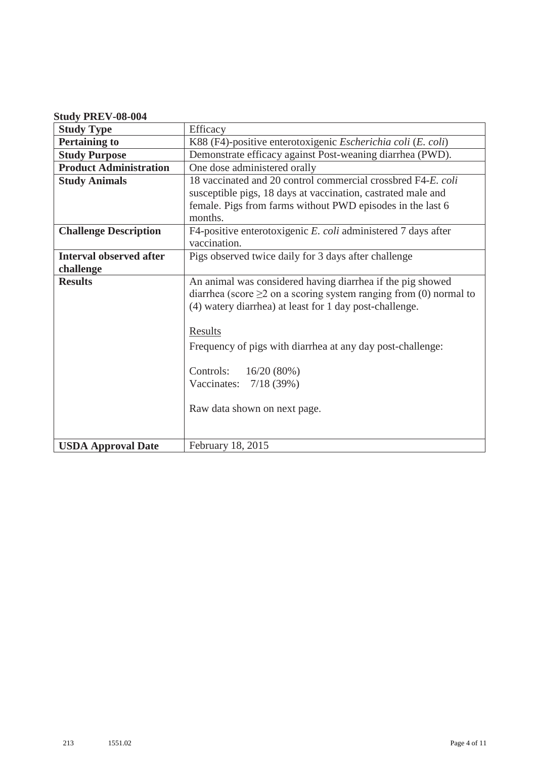## **Study PREV-08-004**

| <b>Study Type</b>              | Efficacy                                                                                                                                                                                         |
|--------------------------------|--------------------------------------------------------------------------------------------------------------------------------------------------------------------------------------------------|
| <b>Pertaining to</b>           | K88 (F4)-positive enterotoxigenic Escherichia coli (E. coli)                                                                                                                                     |
| <b>Study Purpose</b>           | Demonstrate efficacy against Post-weaning diarrhea (PWD).                                                                                                                                        |
| <b>Product Administration</b>  | One dose administered orally                                                                                                                                                                     |
| <b>Study Animals</b>           | 18 vaccinated and 20 control commercial crossbred F4-E. coli                                                                                                                                     |
|                                | susceptible pigs, 18 days at vaccination, castrated male and                                                                                                                                     |
|                                | female. Pigs from farms without PWD episodes in the last 6<br>months.                                                                                                                            |
| <b>Challenge Description</b>   | F4-positive enterotoxigenic E. coli administered 7 days after<br>vaccination.                                                                                                                    |
| <b>Interval observed after</b> | Pigs observed twice daily for 3 days after challenge                                                                                                                                             |
| challenge                      |                                                                                                                                                                                                  |
| <b>Results</b>                 | An animal was considered having diarrhea if the pig showed<br>diarrhea (score $\geq$ 2 on a scoring system ranging from (0) normal to<br>(4) watery diarrhea) at least for 1 day post-challenge. |
|                                | <b>Results</b>                                                                                                                                                                                   |
|                                | Frequency of pigs with diarrhea at any day post-challenge:                                                                                                                                       |
|                                | Controls: 16/20 (80%)                                                                                                                                                                            |
|                                | Vaccinates: $7/18$ (39%)                                                                                                                                                                         |
|                                | Raw data shown on next page.                                                                                                                                                                     |
| <b>USDA Approval Date</b>      | February 18, 2015                                                                                                                                                                                |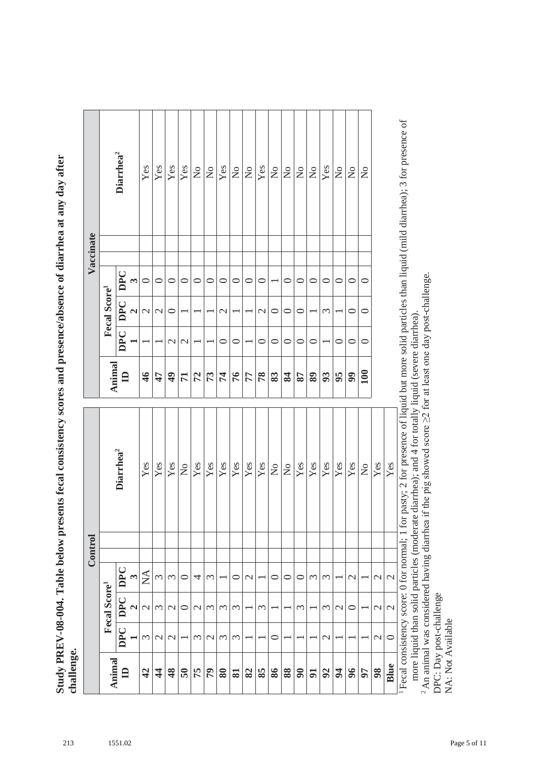Study PREV-08-004. Table below presents fecal consistency scores and presence/absence of diarrhea at any day after **Study PREV-08-004. Table below presents fecal consistency scores and presence/absence of diarrhea at any day after challenge.**

|                         |                |                          |                  | Control |                           |               |               |                          |                | Vaccinate                                                                                                                                            |
|-------------------------|----------------|--------------------------|------------------|---------|---------------------------|---------------|---------------|--------------------------|----------------|------------------------------------------------------------------------------------------------------------------------------------------------------|
| Animal                  |                | Fecal Score <sup>1</sup> |                  |         |                           | Animal        |               | Fecal Score <sup>1</sup> |                |                                                                                                                                                      |
| $\mathbf{a}$            | <b>DPC</b>     | <b>DPC</b>               | DPC              |         | Diarrhea <sup>2</sup>     | $\mathbf{a}$  | <b>DPC</b>    | DPC                      | DPC            | Diarrhea <sup>2</sup>                                                                                                                                |
|                         |                | $\mathbf{\tilde{c}}$     | $\mathfrak{g}$   |         |                           |               |               | $\mathbf{\Omega}$        | $\mathfrak{S}$ |                                                                                                                                                      |
| $\boldsymbol{d}$        | 3              | $\mathcal{C}$            | $\sum_{i=1}^{n}$ |         | Yes                       | $\frac{4}{6}$ |               | $\mathcal{L}$            | $\circ$        | Yes                                                                                                                                                  |
| $\boldsymbol{4}$        | $\mathcal{L}$  | 3                        | 3                |         | Yes                       | 47            |               | $\mathcal{L}$            | $\circ$        | Yes                                                                                                                                                  |
| 48                      | $\mathcal{L}$  | $\mathcal{C}$            | $\mathfrak{c}$   |         | Yes                       | $\ddot{ }$    | $\mathcal{L}$ | $\circ$                  | $\circ$        | Yes                                                                                                                                                  |
| $\overline{\mathbf{5}}$ |                | ⊂                        | ⊂                |         | $\mathsf{S}^{\mathsf{O}}$ | $\mathbf{r}$  | $\mathbf{C}$  |                          | $\circ$        | Yes                                                                                                                                                  |
| 75                      | 3              | $\mathcal{C}$            | 4                |         | Yes                       | 72            |               |                          | $\circ$        | $\mathsf{S}^{\mathsf{O}}$                                                                                                                            |
| $\mathcal{L}$           | $\mathbf{C}$   | $\epsilon$               | $\epsilon$       |         | Yes                       | 73            |               |                          | $\subset$      | $\mathsf{S}^{\mathsf{O}}$                                                                                                                            |
| 80                      | 3              | 3                        |                  |         | Yes                       | $\mathcal{F}$ | $\circ$       | $\mathcal{L}$            | $\subset$      | Yes                                                                                                                                                  |
| $\overline{\mathbf{S}}$ | $\mathfrak{c}$ | $\mathfrak{c}$           | ⊂                |         | Yes                       | 76            | $\circ$       |                          | ⊂              | $\frac{1}{2}$                                                                                                                                        |
| 82                      |                |                          | $\mathcal{C}$    |         | Yes                       | 77            |               |                          | $\circ$        | $\mathsf{S}^{\circ}$                                                                                                                                 |
| 85                      |                | ξ                        |                  |         | Yes                       | 78            | $\circ$       | $\mathcal{L}$            | ⊂              | Yes                                                                                                                                                  |
| 98                      | $\circ$        |                          | 0                |         | $\mathcal{L}^{\circ}$     | 83            | $\circ$       | $\circ$                  |                | $\mathsf{S}^{\mathsf{O}}$                                                                                                                            |
| 88                      |                |                          | 0                |         | $\mathsf{S}^{\mathsf{O}}$ | 84            | $\circ$       | ○                        | ⊂              | $\mathop{\mathsf{S}}\nolimits$                                                                                                                       |
| 90                      |                | ξ                        | ⊂                |         | Yes                       | 78            | $\circ$       | ⊂                        | $\circ$        | $\mathsf{S}^{\mathsf{O}}$                                                                                                                            |
| $5\overline{a}$         |                |                          | ξ                |         | Yes                       | 89            | $\circ$       |                          | $\circ$        | $\mathop{\mathsf{S}}$                                                                                                                                |
| 92                      | $\mathcal{L}$  | $\mathfrak{c}$           | $\mathfrak{c}$   |         | Yes                       | 93            |               | $\mathfrak{c}$           | 0              | Yes                                                                                                                                                  |
| $\mathfrak{p}$          |                | $\mathcal{L}$            |                  |         | $\mathbf{Yes}$            | 95            | $\circ$       |                          | $\circ$        | $\stackrel{\circ}{\mathsf{Z}}$                                                                                                                       |
| 96                      |                | 0                        | $\mathbf 2$      |         | Yes                       | 99            | $\circ$       | ○                        | $\circ$        | $\mathsf{S}^{\mathsf{O}}$                                                                                                                            |
| 50                      |                |                          |                  |         | $\mathsf{S}^{\mathsf{O}}$ | 100           | $\circ$       | 0                        | $\circ$        | $\mathsf{S}^{\mathsf{O}}$                                                                                                                            |
| 98                      | $\mathcal{L}$  | $\mathcal{C}$            | $\mathcal{L}$    |         | Yes                       |               |               |                          |                |                                                                                                                                                      |
| Blue                    | $\circ$        | $\mathcal{L}$            | $\mathbf{C}$     |         | Yes                       |               |               |                          |                |                                                                                                                                                      |
|                         |                |                          |                  |         |                           |               |               |                          |                | Fecal consistency score: 0 for normal; 1 for pasty; 2 for presence of liquid but more solid particles than liquid (mild diarrhea); 3 for presence of |

more liquid than solid particles (moderate diarrhea); and 4 for totally liquid (severe diarrhea). more liquid than solid particles (moderate diarrhea); and 4 for totally liquid (severe diarrhea).

<sup>2</sup> An animal was considered having diarrhea if the pig showed score  $\geq$ 2 for at least one day post-challenge. <sup>2</sup> An animal was considered having diarrhea if the pig showed score  $\geq$  2 for at least one day post-challenge.

DPC: Day post-challenge DPC: Day post-challenge NA: Not Available NA: Not Available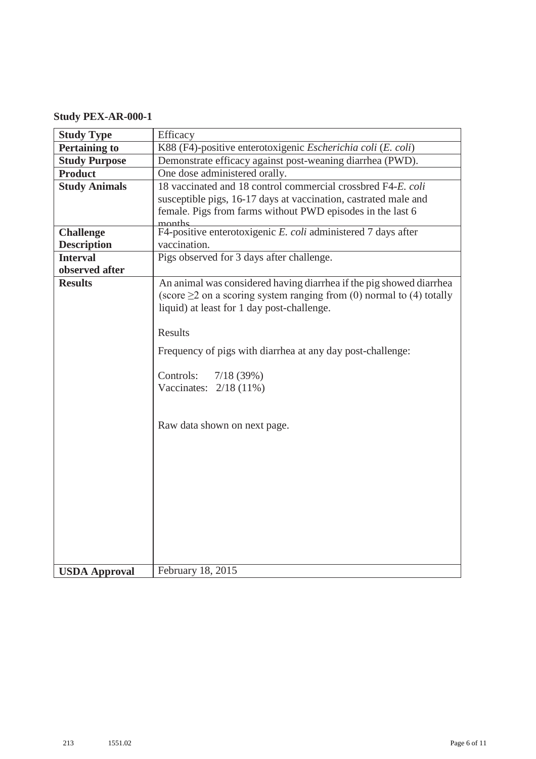## **Study PEX-AR-000-1**

| <b>Study Type</b>    | Efficacy                                                                                                                                                                                        |
|----------------------|-------------------------------------------------------------------------------------------------------------------------------------------------------------------------------------------------|
| <b>Pertaining to</b> | K88 (F4)-positive enterotoxigenic Escherichia coli (E. coli)                                                                                                                                    |
| <b>Study Purpose</b> | Demonstrate efficacy against post-weaning diarrhea (PWD).                                                                                                                                       |
| <b>Product</b>       | One dose administered orally.                                                                                                                                                                   |
| <b>Study Animals</b> | 18 vaccinated and 18 control commercial crossbred F4-E. coli                                                                                                                                    |
|                      | susceptible pigs, 16-17 days at vaccination, castrated male and                                                                                                                                 |
|                      | female. Pigs from farms without PWD episodes in the last 6                                                                                                                                      |
| <b>Challenge</b>     | F4-positive enterotoxigenic E. coli administered 7 days after                                                                                                                                   |
| <b>Description</b>   | vaccination.                                                                                                                                                                                    |
| <b>Interval</b>      | Pigs observed for 3 days after challenge.                                                                                                                                                       |
| observed after       |                                                                                                                                                                                                 |
| <b>Results</b>       | An animal was considered having diarrhea if the pig showed diarrhea<br>(score $\geq$ 2 on a scoring system ranging from (0) normal to (4) totally<br>liquid) at least for 1 day post-challenge. |
|                      | <b>Results</b>                                                                                                                                                                                  |
|                      | Frequency of pigs with diarrhea at any day post-challenge:                                                                                                                                      |
|                      | 7/18(39%)<br>Controls:<br>Vaccinates: $2/18$ (11%)                                                                                                                                              |
|                      | Raw data shown on next page.                                                                                                                                                                    |
|                      |                                                                                                                                                                                                 |
|                      |                                                                                                                                                                                                 |
|                      |                                                                                                                                                                                                 |
| <b>USDA Approval</b> | February 18, 2015                                                                                                                                                                               |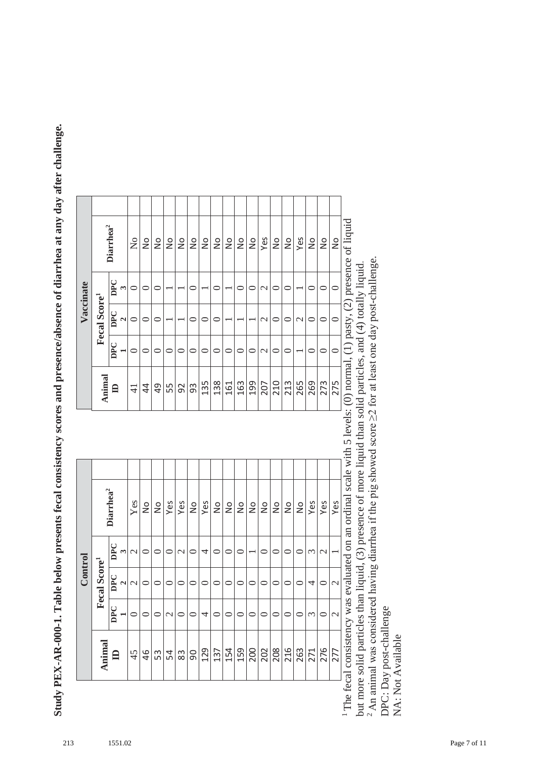Study PEX-AR-000-1. Table below presents fecal consistency scores and presence/absence of diarrhea at any day after challenge. **Study PEX-AR-000-1. Table below presents fecal consistency scores and presence/absence of diarrhea at any day after challenge.**

|           |                          | Diarrhea <sup>2</sup>     | $\mathsf{S}^{\mathsf{O}}$ | $\frac{1}{2}$  | $\frac{1}{2}$ | $\frac{1}{2}$                                                                 | $\frac{1}{2}$ | $\frac{1}{2}$ | $\frac{1}{2}$ | $\frac{1}{2}$     | $\frac{1}{2}$ | $\frac{1}{2}$ | $\frac{1}{2}$          | Yes           | $\frac{1}{2}$ | $\frac{1}{2}$ | Yes             | $\frac{1}{2}$       | $\frac{1}{2}$ | $\frac{1}{2}$            |                                                                                                     |
|-----------|--------------------------|---------------------------|---------------------------|----------------|---------------|-------------------------------------------------------------------------------|---------------|---------------|---------------|-------------------|---------------|---------------|------------------------|---------------|---------------|---------------|-----------------|---------------------|---------------|--------------------------|-----------------------------------------------------------------------------------------------------|
| Vaccinate |                          | DPC                       | ⊂                         | $\circ$        | 0             |                                                                               |               | 0             |               | $\circ$           |               | 0             | 0                      | $\mathcal{C}$ | $\circ$       |               |                 | $\mathord{\subset}$ | ⊂             | $\mathord{\subset}$      |                                                                                                     |
|           | Fecal Score <sup>1</sup> | DPC<br>$\mathbf{\hat{c}}$ | 0                         | $\circ$        | ○             |                                                                               |               | 0             | ○             | $\circ$           |               |               |                        | $\mathcal{C}$ | $\circ$       | 0             | $\mathbf{\sim}$ | $\mathord{\subset}$ | ⊂             | $\overline{\phantom{0}}$ |                                                                                                     |
|           |                          | <b>DPC</b>                | ⊂                         | $\circ$        | 0             | $\circ$                                                                       | $\circ$       | $\circ$       | $\circ$       | $\circ$           | ⊂             | $\circ$       | 0                      | $\mathcal{C}$ | $\circ$       | 0             |                 | $\mathord{\subset}$ | ⊂             | $\mathord{\subset}$      |                                                                                                     |
|           | Animal                   | $\mathbf{a}$              | $\overline{4}$            | $\overline{4}$ | 49            | 55                                                                            | 92            | 93            | 135           | 138               | 161           | 163           | 199                    | 207           | 210           | 213           | 265             | 269                 | 273           | 275                      |                                                                                                     |
|           |                          |                           |                           |                |               |                                                                               |               |               |               |                   |               |               |                        |               |               |               |                 |                     |               |                          |                                                                                                     |
|           |                          |                           |                           |                |               |                                                                               |               |               |               |                   |               |               |                        |               |               |               |                 |                     |               |                          |                                                                                                     |
|           |                          | Diarrhea <sup>2</sup>     | Yes                       | $\frac{1}{2}$  | $\frac{1}{2}$ | Yes                                                                           | Yes           | $\frac{1}{2}$ | Yes           | $\frac{1}{2}$     | $\frac{1}{2}$ | $\frac{1}{2}$ | $\frac{1}{2}$          | $\frac{1}{2}$ | $\frac{1}{2}$ | $\frac{1}{2}$ | $\frac{1}{2}$   | Yes                 | Yes           | Yes                      | $\sim$ was evaluated on an ordinal scale with 5 levels: (0) normal (1) pasty (2) presence of liquid |
|           |                          | DPC<br>$\omega$           | $\mathcal{L}$             | $\circ$        | ○             | $\circ$                                                                       | $\mathcal{C}$ | ○             | 4             | $\circ$           | 0             | $\circ$       |                        | $\circ$       | $\circ$       | 0             | ⊂               | 3                   | $\mathcal{C}$ |                          |                                                                                                     |
| Control   |                          | DPC<br>$\mathbf{\hat{c}}$ | $\mathcal{C}$             | $\circ$        | $\circ$       | ○                                                                             | $\circ$       | $\circ$       | ○             | $\circ$           | $\circ$       | $\circ$       | 0                      | ○             | $\circ$       | $\circ$       | ⊂               | 4                   | ⊂             | $\mathcal{L}$            |                                                                                                     |
|           |                          |                           |                           |                |               |                                                                               |               |               |               |                   |               |               |                        |               |               |               |                 |                     |               |                          |                                                                                                     |
|           | Fecal Score <sup>1</sup> | <b>DPC</b>                |                           | $\circ$        | 0             | $\mathcal{C}$                                                                 | $\circ$       | $\circ$       | 4             | 0                 | 0             | $\circ$       | $\circ$                | ○             | $\circ$       |               | ⊂               | $\mathfrak{c}$      | ⊂             | $\mathcal{L}$            |                                                                                                     |
|           | Animal<br>D              |                           |                           | 45             |               | យ $\left  \frac{\alpha}{2} \right  \approx \left  \frac{\alpha}{2} \right $ ង |               |               |               | $\frac{137}{154}$ |               |               | 8  8  8  9  8  5  7  2 |               |               |               |                 |                     |               |                          | e fecal consisten                                                                                   |

f liquid 1 The fecal consistency was evaluated on an ordinal scale with 5 levels: (0) normal, (1) pasty, (2) presence of liquid <sup>2</sup> An animal was considered having diarrhea if the pig showed score  $\geq$ 2 for at least one day post-challenge. <sup>2</sup> An animal was considered having diarrhea if the pig showed score  $\geq$  for at least one day post-challenge. The recar consistency was evaluated on an ordinal scate with 5 nevers: (0) normal, (1) pasty, (2) presence<br>but more solid particles than liquid, (3) presence of more liquid than solid particles, and (4) totally liquid. but more solid particles than liquid, (3) presence of more liquid than solid particles, and (4) totally liquid. DPC: Day post-challenge DPC: Day post-challenge NA: Not Available  $1$  The fec

NA: Not Available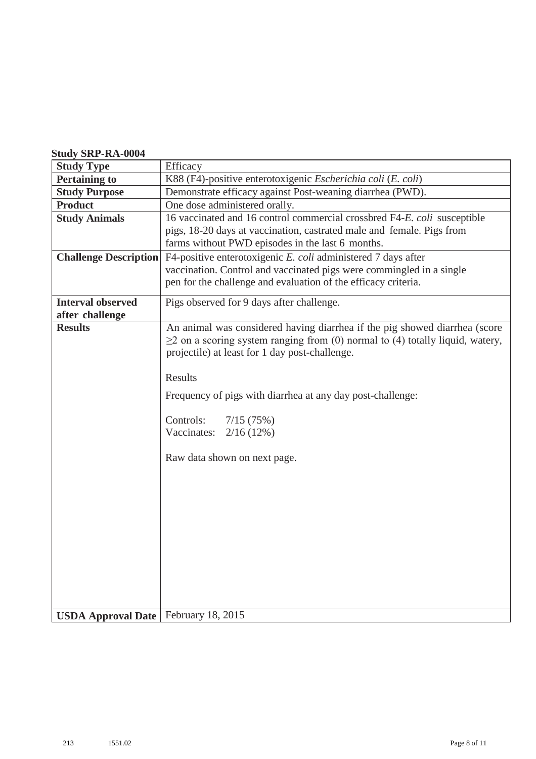#### **Study SRP-RA-0004**

| <b>Study Type</b>                             | Efficacy                                                                            |
|-----------------------------------------------|-------------------------------------------------------------------------------------|
| <b>Pertaining to</b>                          | K88 (F4)-positive enterotoxigenic Escherichia coli (E. coli)                        |
| <b>Study Purpose</b>                          | Demonstrate efficacy against Post-weaning diarrhea (PWD).                           |
| <b>Product</b>                                | One dose administered orally.                                                       |
| <b>Study Animals</b>                          | 16 vaccinated and 16 control commercial crossbred F4-E. coli susceptible            |
|                                               | pigs, 18-20 days at vaccination, castrated male and female. Pigs from               |
|                                               | farms without PWD episodes in the last 6 months.                                    |
| <b>Challenge Description</b>                  | F4-positive enterotoxigenic E. coli administered 7 days after                       |
|                                               | vaccination. Control and vaccinated pigs were commingled in a single                |
|                                               | pen for the challenge and evaluation of the efficacy criteria.                      |
| <b>Interval observed</b>                      | Pigs observed for 9 days after challenge.                                           |
| after challenge                               |                                                                                     |
| <b>Results</b>                                | An animal was considered having diarrhea if the pig showed diarrhea (score          |
|                                               | $\geq$ 2 on a scoring system ranging from (0) normal to (4) totally liquid, watery, |
|                                               | projectile) at least for 1 day post-challenge.                                      |
|                                               | <b>Results</b>                                                                      |
|                                               |                                                                                     |
|                                               | Frequency of pigs with diarrhea at any day post-challenge:                          |
|                                               | Controls:<br>7/15(75%)                                                              |
|                                               | Vaccinates:<br>2/16(12%)                                                            |
|                                               |                                                                                     |
|                                               | Raw data shown on next page.                                                        |
|                                               |                                                                                     |
|                                               |                                                                                     |
|                                               |                                                                                     |
|                                               |                                                                                     |
|                                               |                                                                                     |
|                                               |                                                                                     |
|                                               |                                                                                     |
|                                               |                                                                                     |
|                                               |                                                                                     |
|                                               |                                                                                     |
|                                               |                                                                                     |
| <b>USDA Approval Date   February 18, 2015</b> |                                                                                     |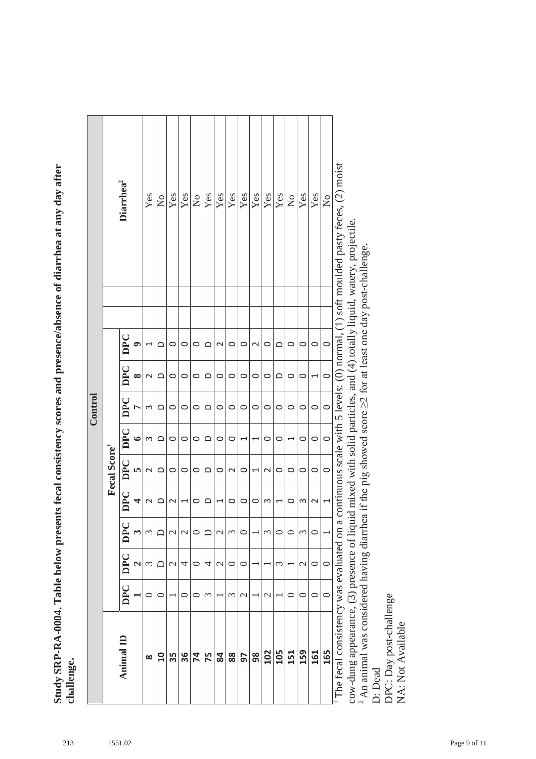**Study SRP-RA-0004. Table below presents fecal consistency scores and presence/absence of diarrhea at any day after**  Study SRP-RA-0004. Table below presents fecal consistency scores and presence/absence of diarrhea at any day after **challenge.**

|         |                          | Diarrhea <sup>2</sup> |           | Yes                      | $\mathsf{S}^{\mathsf{O}}$ | Yes           | Yes           | $\mathsf{S}^{\mathsf{O}}$ | Yes            | Yes                      | Yes         | Yes                      | Yes                      | Yes               | Yes      | $\overline{a}$           | Yes           | Yes     | $\overline{a}$ | continuous scale with 5 levels: $(0)$ normal, $(1)$ soft moulded pasty feces, $(2)$ moist |
|---------|--------------------------|-----------------------|-----------|--------------------------|---------------------------|---------------|---------------|---------------------------|----------------|--------------------------|-------------|--------------------------|--------------------------|-------------------|----------|--------------------------|---------------|---------|----------------|-------------------------------------------------------------------------------------------|
|         |                          | DPC<br>9              |           | $\overline{\phantom{0}}$ | ≏                         | 0             | $\circ$       | $\circ$                   | ≏              | $\sim$                   | $\circ$     | 0                        | $\mathbf{\sim}$          | $\circ$           | $\Omega$ | 0                        | $\circ$       | 0       | $\circ$        |                                                                                           |
|         |                          | <b>DPC</b>            | $\infty$  | $\mathsf{N}$             | $\Omega$                  | 0             | $\circ$       | 0                         | $\Omega$       | $\circ$                  | 0           | 0                        | $\circ$                  | $\circ$           | ≏        | 0                        | $\circ$       | 1       | $\circ$        |                                                                                           |
| Control |                          | DPC                   | $\Gamma$  | S                        | ≏                         | 0             | $\circ$       | 0                         | ≏              | $\circ$                  | $\circ$     | 0                        | 0                        | $\circ$           | 0        | 0                        | 0             | $\circ$ | $\circ$        |                                                                                           |
|         |                          | DPC                   | $\bullet$ | 3                        | ≏                         | 0             | $\circ$       | 0                         | $\supset$      | $\circ$                  | 0           |                          | $\overline{\phantom{0}}$ | $\circ$           | 0        | $\overline{\phantom{0}}$ | $\circ$       | $\circ$ | $\circ$        |                                                                                           |
|         | Fecal Score <sup>1</sup> | DPC                   | <b>I</b>  | 2                        | ≏                         | $\circ$       | $\circ$       | $\circ$                   | $\bigcirc$     | $\circ$                  | $\mathbf 2$ | $\circ$                  | J                        | $\sim$            | $\circ$  | $\circ$                  | 0             | $\circ$ | $\circ$        |                                                                                           |
|         |                          | DPC                   | 4         | 2                        | ≏                         | $\sim$        |               | 0                         | ≏              | 1                        | 0           | 0                        | $\circ$                  | S                 |          | 0                        | S             | $\sim$  | 1              |                                                                                           |
|         |                          | DPC                   |           | 3                        | $\Box$                    | $\mathbf{C}$  | $\mathcal{L}$ | $\circ$                   | ≏              | $\overline{\mathcal{C}}$ | 3           |                          |                          | 3                 |          |                          | 3             |         |                |                                                                                           |
|         |                          | <b>DPC</b>            |           | 3                        |                           | $\mathcal{C}$ | 4             | 0                         | 4              | $\mathcal{C}$            | ⊂           |                          |                          |                   | ω        |                          | $\mathcal{C}$ | $\circ$ | $\subset$      |                                                                                           |
|         |                          | <b>DPC</b>            |           | 0                        |                           |               | ⊂             | ⊂                         | $\mathfrak{c}$ |                          | 3           | $\overline{\mathcal{C}}$ |                          | $\mathbf{\Omega}$ |          | ⊂                        | ○             | 0       | $\subset$      |                                                                                           |
|         |                          | Animal ID             |           | $\infty$                 | $\mathbf{a}$              | 35            | 36            | 74                        | 75             | 84                       | 88          | 56                       | 98                       | 102               | 105      | 151                      | 159           | 161     | 165            | The fecal consistency was evaluated on a                                                  |

cow-dung appearance, (3) presence of liquid mixed with solid particles, and (4) totally liquid, watery, projectile. cow-dung appearance, (3) presence of liquid mixed with solid particles, and (4) totally liquid, watery, projectile.

<sup>2</sup> An animal was considered having diarrhea if the pig showed score  $\geq$  for at least one day post-challenge. <sup>2</sup> An animal was considered having diarrhea if the pig showed score  $\geq$  for at least one day post-challenge.

D: Dead

DPC: Day post-challenge DPC: Day post-challenge NA: Not Available NA: Not Available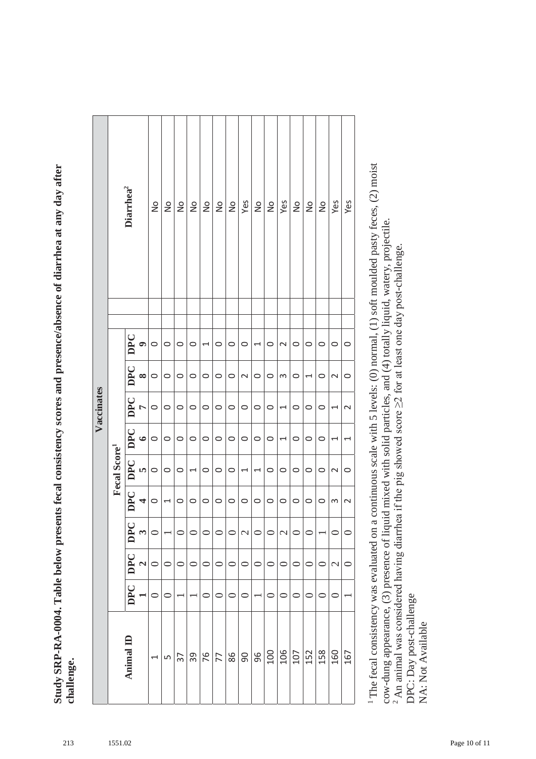**Study SRP-RA-0004. Table below presents fecal consistency scores and presence/absence of diarrhea at any day after**  Study SRP-RA-0004. Table below presents fecal consistency scores and presence/absence of diarrhea at any day after **challenge.**

|            |                          | Diarrhea <sup>2</sup> |                | $\frac{1}{2}$ | $\frac{1}{2}$            | $\frac{1}{2}$ | $\frac{1}{2}$            | $\frac{1}{2}$ | $\frac{1}{2}$ | $\frac{1}{2}$ | Yes                      | $\frac{1}{2}$            | $\frac{1}{2}$    | Yes             | $\frac{1}{2}$ | $\frac{1}{2}$ | $\frac{1}{2}$ | Yes                      | Yes                      |
|------------|--------------------------|-----------------------|----------------|---------------|--------------------------|---------------|--------------------------|---------------|---------------|---------------|--------------------------|--------------------------|------------------|-----------------|---------------|---------------|---------------|--------------------------|--------------------------|
|            |                          |                       |                |               |                          |               |                          |               |               |               |                          |                          |                  |                 |               |               |               |                          |                          |
|            |                          | DPC                   | $\bullet$      | $\circ$       | $\circ$                  | $\circ$       | $\circ$                  | 1             | $\circ$       | $\circ$       | $\circ$                  | 1                        | $\circ$          | $\mathbf{\sim}$ | $\circ$       | $\circ$       | $\circ$       | $\circ$                  | $\circ$                  |
|            |                          | DPC                   | $\infty$       | $\circ$       | $\circ$                  | $\circ$       | $\circ$                  | $\circ$       | $\circ$       | $\circ$       | $\sim$                   | $\circ$                  | $\circ$          | $\infty$        | $\circ$       | 1             | $\circ$       | $\mathbf{\sim}$          | 0                        |
| Vaccinates |                          | DPC                   | $\overline{a}$ | $\circ$       | $\circ$                  | $\circ$       | $\circ$                  | $\circ$       | $\circ$       | $\circ$       | $\circ$                  | $\circ$                  | $\circ$          | $\overline{ }$  | $\circ$       | $\circ$       | $\circ$       | 1                        | $\overline{\mathsf{C}}$  |
|            |                          | $ $ DPC               | $\bullet$      | $\circ$       | $\circ$                  | $\circ$       | $\circ$                  | $\circ$       | $\circ$       | $\circ$       | $\circ$                  | $\circ$                  | $\circ$          | 1               | $\circ$       | $\circ$       | $\circ$       | 1                        | $\overline{\phantom{0}}$ |
|            | Fecal Score <sup>1</sup> | DPC                   | n)             | $\circ$       | $\circ$                  | $\circ$       | $\overline{\phantom{0}}$ | $\circ$       | $\circ$       | $\circ$       | $\overline{\phantom{0}}$ | $\overline{\phantom{0}}$ | $\circ$          | $\circ$         | $\circ$       | $\circ$       | $\circ$       | $\mathbf{\sim}$          | $\circ$                  |
|            |                          | <b>DPC</b>            | 4              | $\circ$       | $\overline{\phantom{0}}$ | $\circ$       | $\circ$                  | $\circ$       | $\circ$       | $\circ$       | $\circ$                  | $\circ$                  | $\circ$          | $\circ$         | $\circ$       | $\circ$       | $\circ$       | S                        | $\sim$                   |
|            |                          | DPC                   | $\omega$       |               |                          | $\circ$       | $\circ$                  | $\circ$       | $\circ$       | $\circ$       | $\overline{\mathcal{C}}$ | $\circ$                  | $\circ$          | $\mathcal{L}$   | $\circ$       | 0             |               | $\circ$                  |                          |
|            |                          | <b>DPC</b>            | $\mathbf{c}$   | $\circ$       | $\circ$                  | $\circ$       | $\circ$                  | $\circ$       | $\circ$       | $\circ$       | $\circ$                  | $\circ$                  | $\circ$          | $\circ$         | $\circ$       | $\circ$       | $\circ$       | $\overline{\mathcal{C}}$ | $\circ$                  |
|            |                          | <b>DPC</b>            |                |               |                          |               |                          | $\circ$       | $\subset$     |               | $\subset$                |                          | $\circ$          | $\circ$         | 0             | $\circ$       | ⊂             |                          |                          |
|            |                          | Animal ID             |                |               | LŊ                       | 37            | 39                       | 76            | 77            | 86            | 90                       | 96                       | $\overline{100}$ | $\frac{106}{1}$ | 107           | 152           | 158           | 160                      | 167                      |

1 The fecal consistency was evaluated on a continuous scale with 5 levels: (0) normal, (1) soft moulded pasty feces, (2) moist <sup>1</sup> The fecal consistency was evaluated on a continuous scale with 5 levels: (0) normal, (1) soft moulded pasty feces, (2) moist cow-dung appearance, (3) presence of liquid mixed with solid particles, and (4) totally liquid, watery, projectile. cow-dung appearance, (3) presence of liquid mixed with solid particles, and (4) totally liquid, watery, projectile. <sup>2</sup> An animal was considered having diarrhea if the pig showed score  $\geq$  for at least one day post-challenge. <sup>2</sup> An animal was considered having diarrhea if the pig showed score  $\geq$  for at least one day post-challenge. DPC: Day post-challenge DPC: Day post-challenge NA: Not Available

NA: Not Available